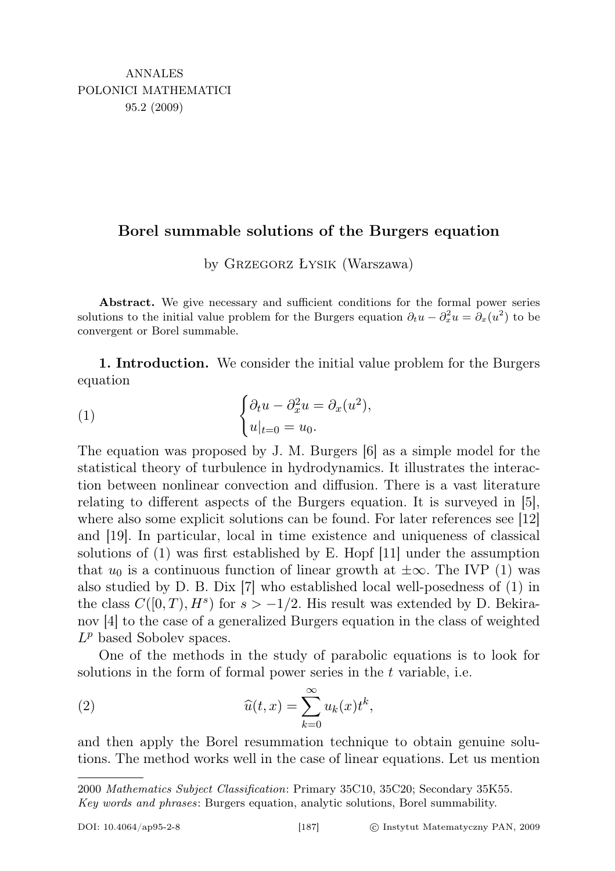## Borel summable solutions of the Burgers equation

by Grzegorz Łysik (Warszawa)

Abstract. We give necessary and sufficient conditions for the formal power series solutions to the initial value problem for the Burgers equation  $\partial_t u - \partial_x^2 u = \partial_x (u^2)$  to be convergent or Borel summable.

1. Introduction. We consider the initial value problem for the Burgers equation

(1) 
$$
\begin{cases} \partial_t u - \partial_x^2 u = \partial_x (u^2), \\ u|_{t=0} = u_0. \end{cases}
$$

The equation was proposed by J. M. Burgers [6] as a simple model for the statistical theory of turbulence in hydrodynamics. It illustrates the interaction between nonlinear convection and diffusion. There is a vast literature relating to different aspects of the Burgers equation. It is surveyed in [5], where also some explicit solutions can be found. For later references see [12] and [19]. In particular, local in time existence and uniqueness of classical solutions of (1) was first established by E. Hopf [11] under the assumption that  $u_0$  is a continuous function of linear growth at  $\pm \infty$ . The IVP (1) was also studied by D. B. Dix [7] who established local well-posedness of (1) in the class  $C([0,T), H^s)$  for  $s > -1/2$ . His result was extended by D. Bekiranov [4] to the case of a generalized Burgers equation in the class of weighted  $L^p$  based Sobolev spaces.

One of the methods in the study of parabolic equations is to look for solutions in the form of formal power series in the t variable, i.e.

(2) 
$$
\widehat{u}(t,x) = \sum_{k=0}^{\infty} u_k(x) t^k,
$$

and then apply the Borel resummation technique to obtain genuine solutions. The method works well in the case of linear equations. Let us mention

<sup>2000</sup> Mathematics Subject Classification: Primary 35C10, 35C20; Secondary 35K55.

Key words and phrases: Burgers equation, analytic solutions, Borel summability.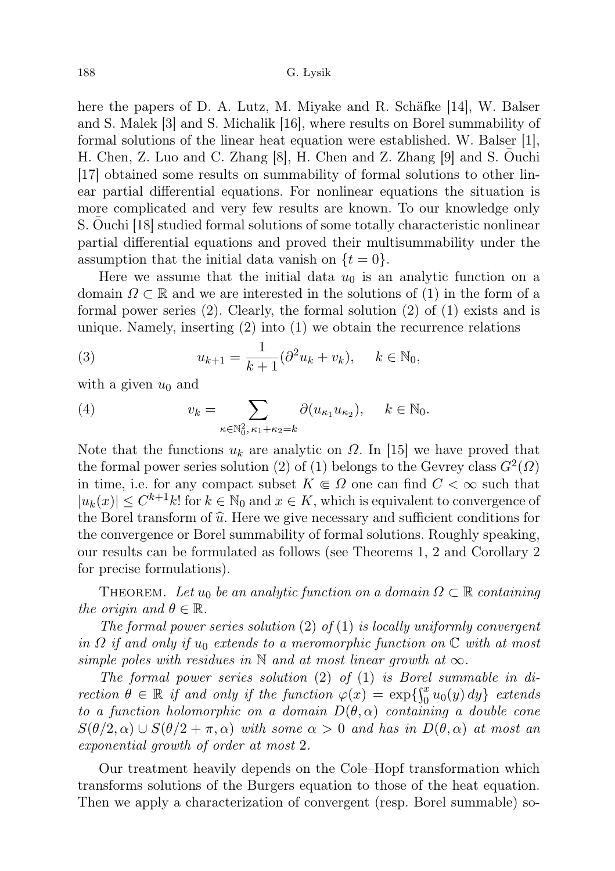## 188 G. Łysik

here the papers of D. A. Lutz, M. Miyake and R. Schäfke [14], W. Balser and S. Malek [3] and S. Michalik [16], where results on Borel summability of formal solutions of the linear heat equation were established. W. Balser [1], H. Chen, Z. Luo and C. Zhang [8], H. Chen and Z. Zhang [9] and S. Ouchi ¯ [17] obtained some results on summability of formal solutions to other linear partial differential equations. For nonlinear equations the situation is more complicated and very few results are known. To our knowledge only S. Ouchi [18] studied formal solutions of some totally characteristic nonlinear partial differential equations and proved their multisummability under the assumption that the initial data vanish on  $\{t=0\}$ .

Here we assume that the initial data  $u_0$  is an analytic function on a domain  $\Omega \subset \mathbb{R}$  and we are interested in the solutions of (1) in the form of a formal power series (2). Clearly, the formal solution (2) of (1) exists and is unique. Namely, inserting (2) into (1) we obtain the recurrence relations

(3) 
$$
u_{k+1} = \frac{1}{k+1} (\partial^2 u_k + v_k), \quad k \in \mathbb{N}_0,
$$

with a given  $u_0$  and

(4) 
$$
v_k = \sum_{\kappa \in \mathbb{N}_0^2, \kappa_1 + \kappa_2 = k} \partial(u_{\kappa_1} u_{\kappa_2}), \quad k \in \mathbb{N}_0.
$$

Note that the functions  $u_k$  are analytic on  $\Omega$ . In [15] we have proved that the formal power series solution (2) of (1) belongs to the Gevrey class  $G^2(\Omega)$ in time, i.e. for any compact subset  $K \in \Omega$  one can find  $C < \infty$  such that  $|u_k(x)| \leq C^{k+1}k!$  for  $k \in \mathbb{N}_0$  and  $x \in K$ , which is equivalent to convergence of the Borel transform of  $\hat{u}$ . Here we give necessary and sufficient conditions for the convergence or Borel summability of formal solutions. Roughly speaking, our results can be formulated as follows (see Theorems 1, 2 and Corollary 2 for precise formulations).

THEOREM. Let  $u_0$  be an analytic function on a domain  $\Omega \subset \mathbb{R}$  containing the origin and  $\theta \in \mathbb{R}$ .

The formal power series solution  $(2)$  of  $(1)$  is locally uniformly convergent in  $\Omega$  if and only if  $u_0$  extends to a meromorphic function on  $\mathbb C$  with at most simple poles with residues in N and at most linear growth at  $\infty$ .

The formal power series solution (2) of (1) is Borel summable in direction  $\theta \in \mathbb{R}$  if and only if the function  $\varphi(x) = \exp\{\int_0^x u_0(y) dy\}$  extends to a function holomorphic on a domain  $D(\theta, \alpha)$  containing a double cone  $S(\theta/2, \alpha) \cup S(\theta/2 + \pi, \alpha)$  with some  $\alpha > 0$  and has in  $D(\theta, \alpha)$  at most an exponential growth of order at most 2.

Our treatment heavily depends on the Cole–Hopf transformation which transforms solutions of the Burgers equation to those of the heat equation. Then we apply a characterization of convergent (resp. Borel summable) so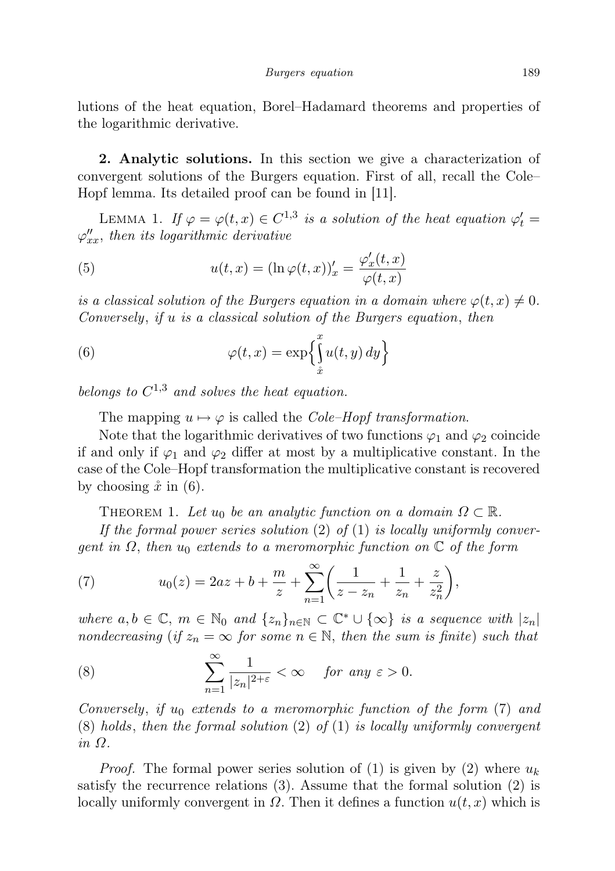lutions of the heat equation, Borel–Hadamard theorems and properties of the logarithmic derivative.

2. Analytic solutions. In this section we give a characterization of convergent solutions of the Burgers equation. First of all, recall the Cole– Hopf lemma. Its detailed proof can be found in [11].

LEMMA 1. If  $\varphi = \varphi(t, x) \in C^{1,3}$  is a solution of the heat equation  $\varphi'_t =$  $\varphi_{xx}''$ , then its logarithmic derivative

(5) 
$$
u(t,x) = (\ln \varphi(t,x))_x' = \frac{\varphi_x'(t,x)}{\varphi(t,x)}
$$

is a classical solution of the Burgers equation in a domain where  $\varphi(t, x) \neq 0$ . Conversely, if u is a classical solution of the Burgers equation, then

(6) 
$$
\varphi(t,x) = \exp\left\{\int_{\hat{x}}^x u(t,y) \, dy\right\}
$$

belongs to  $C^{1,3}$  and solves the heat equation.

The mapping  $u \mapsto \varphi$  is called the *Cole–Hopf transformation*.

Note that the logarithmic derivatives of two functions  $\varphi_1$  and  $\varphi_2$  coincide if and only if  $\varphi_1$  and  $\varphi_2$  differ at most by a multiplicative constant. In the case of the Cole–Hopf transformation the multiplicative constant is recovered by choosing  $\ddot{x}$  in (6).

THEOREM 1. Let  $u_0$  be an analytic function on a domain  $\Omega \subset \mathbb{R}$ .

If the formal power series solution (2) of (1) is locally uniformly convergent in  $\Omega$ , then  $u_0$  extends to a meromorphic function on  $\mathbb C$  of the form

(7) 
$$
u_0(z) = 2az + b + \frac{m}{z} + \sum_{n=1}^{\infty} \left( \frac{1}{z - z_n} + \frac{1}{z_n} + \frac{z}{z_n^2} \right),
$$

where  $a, b \in \mathbb{C}$ ,  $m \in \mathbb{N}_0$  and  $\{z_n\}_{n \in \mathbb{N}} \subset \mathbb{C}^* \cup \{\infty\}$  is a sequence with  $|z_n|$ nondecreasing (if  $z_n = \infty$  for some  $n \in \mathbb{N}$ , then the sum is finite) such that

(8) 
$$
\sum_{n=1}^{\infty} \frac{1}{|z_n|^{2+\varepsilon}} < \infty \quad \text{for any } \varepsilon > 0.
$$

Conversely, if  $u_0$  extends to a meromorphic function of the form (7) and  $(8)$  holds, then the formal solution  $(2)$  of  $(1)$  is locally uniformly convergent in Ω.

*Proof.* The formal power series solution of (1) is given by (2) where  $u_k$ satisfy the recurrence relations (3). Assume that the formal solution (2) is locally uniformly convergent in  $\Omega$ . Then it defines a function  $u(t, x)$  which is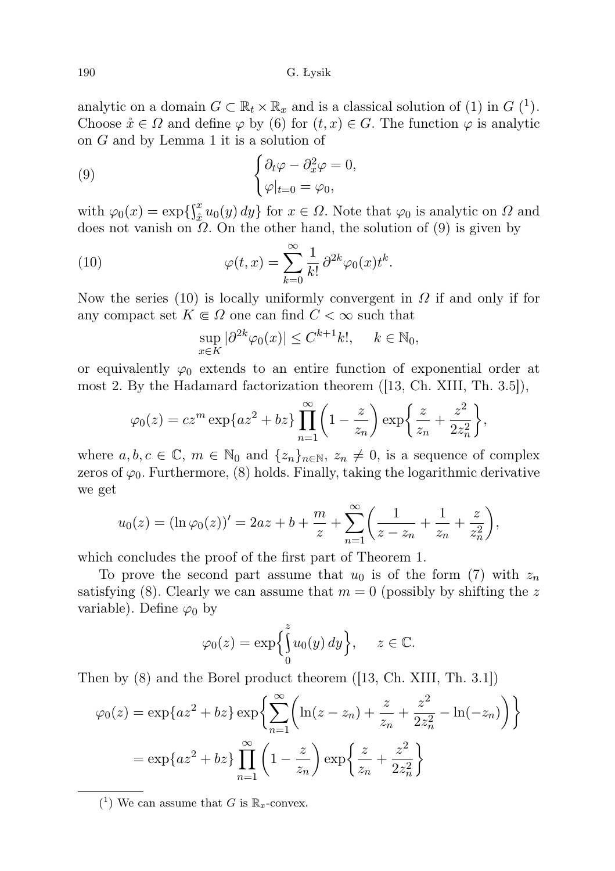190 G. Łysik

analytic on a domain  $G \subset \mathbb{R}_t \times \mathbb{R}_x$  and is a classical solution of (1) in  $G$  (<sup>1</sup>). Choose  $\mathring{x} \in \Omega$  and define  $\varphi$  by (6) for  $(t, x) \in G$ . The function  $\varphi$  is analytic on G and by Lemma 1 it is a solution of

(9) 
$$
\begin{cases} \partial_t \varphi - \partial_x^2 \varphi = 0, \\ \varphi|_{t=0} = \varphi_0, \end{cases}
$$

with  $\varphi_0(x) = \exp\left\{\int_{x_0}^x u_0(y) dy\right\}$  for  $x \in \Omega$ . Note that  $\varphi_0$  is analytic on  $\Omega$  and does not vanish on  $\Omega$ . On the other hand, the solution of (9) is given by

(10) 
$$
\varphi(t,x) = \sum_{k=0}^{\infty} \frac{1}{k!} \partial^{2k} \varphi_0(x) t^k.
$$

Now the series (10) is locally uniformly convergent in  $\Omega$  if and only if for any compact set  $K \in \Omega$  one can find  $C < \infty$  such that

$$
\sup_{x \in K} |\partial^{2k} \varphi_0(x)| \le C^{k+1} k!, \quad k \in \mathbb{N}_0,
$$

or equivalently  $\varphi_0$  extends to an entire function of exponential order at most 2. By the Hadamard factorization theorem ([13, Ch. XIII, Th. 3.5]),

$$
\varphi_0(z) = cz^m \exp\{az^2 + bz\} \prod_{n=1}^{\infty} \left(1 - \frac{z}{z_n}\right) \exp\left\{\frac{z}{z_n} + \frac{z^2}{2z_n^2}\right\},\,
$$

where  $a, b, c \in \mathbb{C}$ ,  $m \in \mathbb{N}_0$  and  $\{z_n\}_{n \in \mathbb{N}}$ ,  $z_n \neq 0$ , is a sequence of complex zeros of  $\varphi_0$ . Furthermore, (8) holds. Finally, taking the logarithmic derivative we get

$$
u_0(z) = (\ln \varphi_0(z))' = 2az + b + \frac{m}{z} + \sum_{n=1}^{\infty} \left( \frac{1}{z - z_n} + \frac{1}{z_n} + \frac{z}{z_n^2} \right),
$$

which concludes the proof of the first part of Theorem 1.

To prove the second part assume that  $u_0$  is of the form (7) with  $z_n$ satisfying (8). Clearly we can assume that  $m = 0$  (possibly by shifting the z variable). Define  $\varphi_0$  by

$$
\varphi_0(z) = \exp\left\{\int_0^z u_0(y) \, dy\right\}, \quad z \in \mathbb{C}.
$$

Then by (8) and the Borel product theorem ([13, Ch. XIII, Th. 3.1])

$$
\varphi_0(z) = \exp\{az^2 + bz\} \exp\left\{ \sum_{n=1}^{\infty} \left( \ln(z - z_n) + \frac{z}{z_n} + \frac{z^2}{2z_n^2} - \ln(-z_n) \right) \right\}
$$

$$
= \exp\{az^2 + bz\} \prod_{n=1}^{\infty} \left( 1 - \frac{z}{z_n} \right) \exp\left\{ \frac{z}{z_n} + \frac{z^2}{2z_n^2} \right\}
$$

<sup>&</sup>lt;sup>(1</sup>) We can assume that *G* is  $\mathbb{R}_x$ -convex.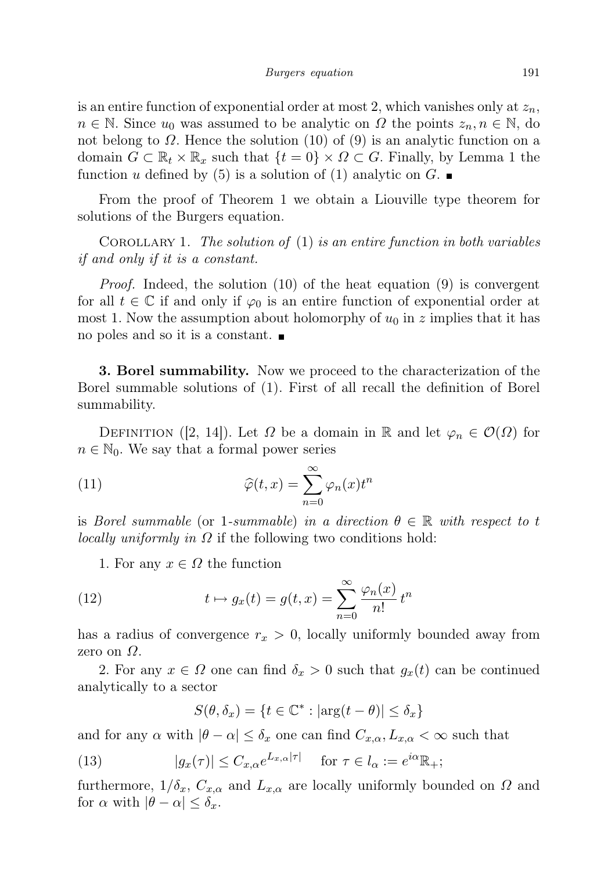is an entire function of exponential order at most 2, which vanishes only at  $z_n$ ,  $n \in \mathbb{N}$ . Since  $u_0$  was assumed to be analytic on  $\Omega$  the points  $z_n, n \in \mathbb{N}$ , do not belong to  $\Omega$ . Hence the solution (10) of (9) is an analytic function on a domain  $G \subset \mathbb{R}_t \times \mathbb{R}_x$  such that  $\{t = 0\} \times \Omega \subset G$ . Finally, by Lemma 1 the function u defined by (5) is a solution of (1) analytic on G.

From the proof of Theorem 1 we obtain a Liouville type theorem for solutions of the Burgers equation.

COROLLARY 1. The solution of  $(1)$  is an entire function in both variables if and only if it is a constant.

Proof. Indeed, the solution (10) of the heat equation (9) is convergent for all  $t \in \mathbb{C}$  if and only if  $\varphi_0$  is an entire function of exponential order at most 1. Now the assumption about holomorphy of  $u_0$  in z implies that it has no poles and so it is a constant.

3. Borel summability. Now we proceed to the characterization of the Borel summable solutions of (1). First of all recall the definition of Borel summability.

DEFINITION ([2, 14]). Let  $\Omega$  be a domain in R and let  $\varphi_n \in \mathcal{O}(\Omega)$  for  $n \in \mathbb{N}_0$ . We say that a formal power series

(11) 
$$
\widehat{\varphi}(t,x) = \sum_{n=0}^{\infty} \varphi_n(x) t^n
$$

is Borel summable (or 1-summable) in a direction  $\theta \in \mathbb{R}$  with respect to t *locally uniformly in*  $\Omega$  if the following two conditions hold:

1. For any  $x \in \Omega$  the function

(12) 
$$
t \mapsto g_x(t) = g(t, x) = \sum_{n=0}^{\infty} \frac{\varphi_n(x)}{n!} t^n
$$

has a radius of convergence  $r_x > 0$ , locally uniformly bounded away from zero on  $\Omega$ .

2. For any  $x \in \Omega$  one can find  $\delta_x > 0$  such that  $g_x(t)$  can be continued analytically to a sector

$$
S(\theta, \delta_x) = \{ t \in \mathbb{C}^* : |\arg(t - \theta)| \le \delta_x \}
$$

and for any  $\alpha$  with  $|\theta - \alpha| \leq \delta_x$  one can find  $C_{x,\alpha}, L_{x,\alpha} < \infty$  such that

(13) 
$$
|g_x(\tau)| \le C_{x,\alpha} e^{L_{x,\alpha}|\tau|} \quad \text{for } \tau \in l_\alpha := e^{i\alpha} \mathbb{R}_+;
$$

furthermore,  $1/\delta_x$ ,  $C_{x,\alpha}$  and  $L_{x,\alpha}$  are locally uniformly bounded on  $\Omega$  and for  $\alpha$  with  $|\theta - \alpha| \leq \delta_x$ .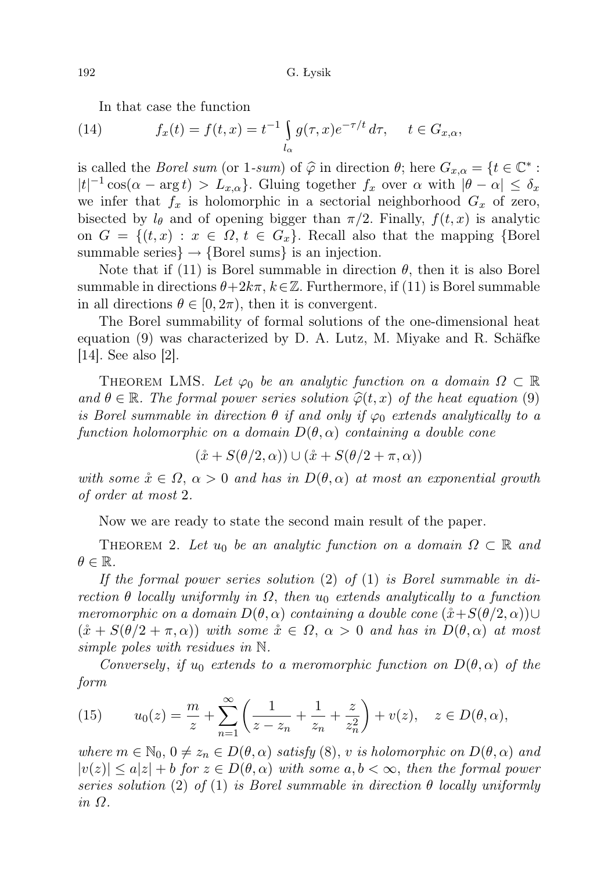In that case the function

(14) 
$$
f_x(t) = f(t, x) = t^{-1} \int_{l_\alpha} g(\tau, x) e^{-\tau/t} d\tau, \quad t \in G_{x,\alpha},
$$

is called the *Borel sum* (or 1-sum) of  $\hat{\varphi}$  in direction  $\theta$ ; here  $G_{x,\alpha} = \{t \in \mathbb{C}^* : |t|^{-1} \cos(\alpha - \arctan t) \geq I\}$  $|t|^{-1}\cos(\alpha - \arg t) > L_{x,\alpha}$ . Gluing together  $f_x$  over  $\alpha$  with  $|\theta - \alpha| \leq \delta_x$ we infer that  $f_x$  is holomorphic in a sectorial neighborhood  $G_x$  of zero, bisected by  $l_{\theta}$  and of opening bigger than  $\pi/2$ . Finally,  $f(t, x)$  is analytic on  $G = \{(t, x) : x \in \Omega, t \in G_x\}$ . Recall also that the mapping {Borel summable series $\} \rightarrow \{Borel \text{ sums}\}$  is an injection.

Note that if (11) is Borel summable in direction  $\theta$ , then it is also Borel summable in directions  $\theta+2k\pi$ ,  $k\in\mathbb{Z}$ . Furthermore, if (11) is Borel summable in all directions  $\theta \in [0, 2\pi)$ , then it is convergent.

The Borel summability of formal solutions of the one-dimensional heat equation (9) was characterized by D. A. Lutz, M. Miyake and R. Schäfke [14]. See also [2].

THEOREM LMS. Let  $\varphi_0$  be an analytic function on a domain  $\Omega \subset \mathbb{R}$ and  $\theta \in \mathbb{R}$ . The formal power series solution  $\hat{\varphi}(t, x)$  of the heat equation (9) is Borel summable in direction  $\theta$  if and only if  $\varphi_0$  extends analytically to a function holomorphic on a domain  $D(\theta, \alpha)$  containing a double cone

$$
(\mathring{x} + S(\theta/2, \alpha)) \cup (\mathring{x} + S(\theta/2 + \pi, \alpha))
$$

with some  $\mathring{x} \in \Omega$ ,  $\alpha > 0$  and has in  $D(\theta, \alpha)$  at most an exponential growth of order at most 2.

Now we are ready to state the second main result of the paper.

THEOREM 2. Let  $u_0$  be an analytic function on a domain  $\Omega \subset \mathbb{R}$  and  $\theta \in \mathbb{R}$ .

If the formal power series solution  $(2)$  of  $(1)$  is Borel summable in direction  $\theta$  locally uniformly in  $\Omega$ , then u<sub>0</sub> extends analytically to a function meromorphic on a domain  $D(\theta, \alpha)$  containing a double cone  $(\mathring{x} + S(\theta/2, \alpha)) \cup$  $(\mathring{x} + S(\theta/2 + \pi, \alpha))$  with some  $\mathring{x} \in \Omega$ ,  $\alpha > 0$  and has in  $D(\theta, \alpha)$  at most simple poles with residues in N.

Conversely, if  $u_0$  extends to a meromorphic function on  $D(\theta,\alpha)$  of the form

(15) 
$$
u_0(z) = \frac{m}{z} + \sum_{n=1}^{\infty} \left( \frac{1}{z - z_n} + \frac{1}{z_n} + \frac{z}{z_n^2} \right) + v(z), \quad z \in D(\theta, \alpha),
$$

where  $m \in \mathbb{N}_0$ ,  $0 \neq z_n \in D(\theta, \alpha)$  satisfy  $(8)$ , v is holomorphic on  $D(\theta, \alpha)$  and  $|v(z)| \leq a|z| + b$  for  $z \in D(\theta, \alpha)$  with some  $a, b < \infty$ , then the formal power series solution (2) of (1) is Borel summable in direction  $\theta$  locally uniformly in Ω.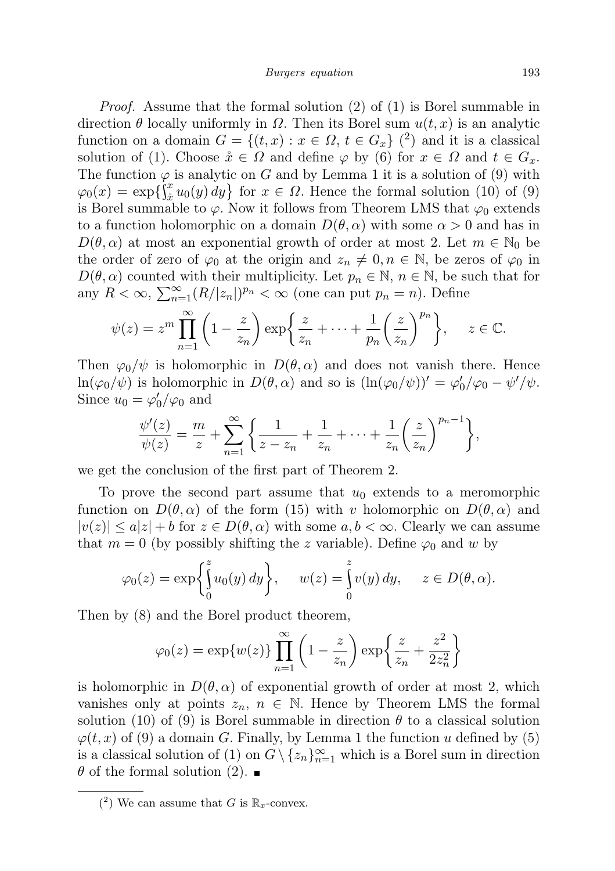Proof. Assume that the formal solution (2) of (1) is Borel summable in direction  $\theta$  locally uniformly in  $\Omega$ . Then its Borel sum  $u(t, x)$  is an analytic function on a domain  $G = \{(t, x) : x \in \Omega, t \in G_x\}$  (2) and it is a classical solution of (1). Choose  $\mathring{x} \in \Omega$  and define  $\varphi$  by (6) for  $x \in \Omega$  and  $t \in G_x$ . The function  $\varphi$  is analytic on G and by Lemma 1 it is a solution of (9) with  $\varphi_0(x) = \exp\left\{\int_x^x u_0(y) \, dy\right\}$  for  $x \in \Omega$ . Hence the formal solution (10) of (9) is Borel summable to  $\varphi$ . Now it follows from Theorem LMS that  $\varphi_0$  extends to a function holomorphic on a domain  $D(\theta, \alpha)$  with some  $\alpha > 0$  and has in  $D(\theta, \alpha)$  at most an exponential growth of order at most 2. Let  $m \in \mathbb{N}_0$  be the order of zero of  $\varphi_0$  at the origin and  $z_n \neq 0, n \in \mathbb{N}$ , be zeros of  $\varphi_0$  in  $D(\theta,\alpha)$  counted with their multiplicity. Let  $p_n \in \mathbb{N}, n \in \mathbb{N}$ , be such that for any  $R < \infty$ ,  $\sum_{n=1}^{\infty} (R/|z_n|)^{p_n} < \infty$  (one can put  $p_n = n$ ). Define

$$
\psi(z) = z^m \prod_{n=1}^{\infty} \left( 1 - \frac{z}{z_n} \right) \exp\left\{ \frac{z}{z_n} + \dots + \frac{1}{p_n} \left( \frac{z}{z_n} \right)^{p_n} \right\}, \quad z \in \mathbb{C}.
$$

Then  $\varphi_0/\psi$  is holomorphic in  $D(\theta,\alpha)$  and does not vanish there. Hence  $\ln(\varphi_0/\psi)$  is holomorphic in  $D(\theta, \alpha)$  and so is  $(\ln(\varphi_0/\psi))' = \varphi'_0/\varphi_0 - \psi'/\psi$ . Since  $u_0 = \varphi'_0/\varphi_0$  and

$$
\frac{\psi'(z)}{\psi(z)} = \frac{m}{z} + \sum_{n=1}^{\infty} \left\{ \frac{1}{z - z_n} + \frac{1}{z_n} + \dots + \frac{1}{z_n} \left( \frac{z}{z_n} \right)^{p_n - 1} \right\},\,
$$

we get the conclusion of the first part of Theorem 2.

To prove the second part assume that  $u_0$  extends to a meromorphic function on  $D(\theta, \alpha)$  of the form (15) with v holomorphic on  $D(\theta, \alpha)$  and  $|v(z)| \le a|z| + b$  for  $z \in D(\theta, \alpha)$  with some  $a, b < \infty$ . Clearly we can assume that  $m = 0$  (by possibly shifting the z variable). Define  $\varphi_0$  and w by

$$
\varphi_0(z) = \exp\left\{\int_0^z u_0(y) \, dy\right\}, \quad w(z) = \int_0^z v(y) \, dy, \quad z \in D(\theta, \alpha).
$$

Then by (8) and the Borel product theorem,

$$
\varphi_0(z) = \exp\{w(z)\} \prod_{n=1}^{\infty} \left(1 - \frac{z}{z_n}\right) \exp\left\{\frac{z}{z_n} + \frac{z^2}{2z_n^2}\right\}
$$

is holomorphic in  $D(\theta, \alpha)$  of exponential growth of order at most 2, which vanishes only at points  $z_n$ ,  $n \in \mathbb{N}$ . Hence by Theorem LMS the formal solution (10) of (9) is Borel summable in direction  $\theta$  to a classical solution  $\varphi(t, x)$  of (9) a domain G. Finally, by Lemma 1 the function u defined by (5) is a classical solution of (1) on  $G \setminus \{z_n\}_{n=1}^{\infty}$  which is a Borel sum in direction  $\theta$  of the formal solution (2).

 $(2)$  We can assume that G is  $\mathbb{R}_x$ -convex.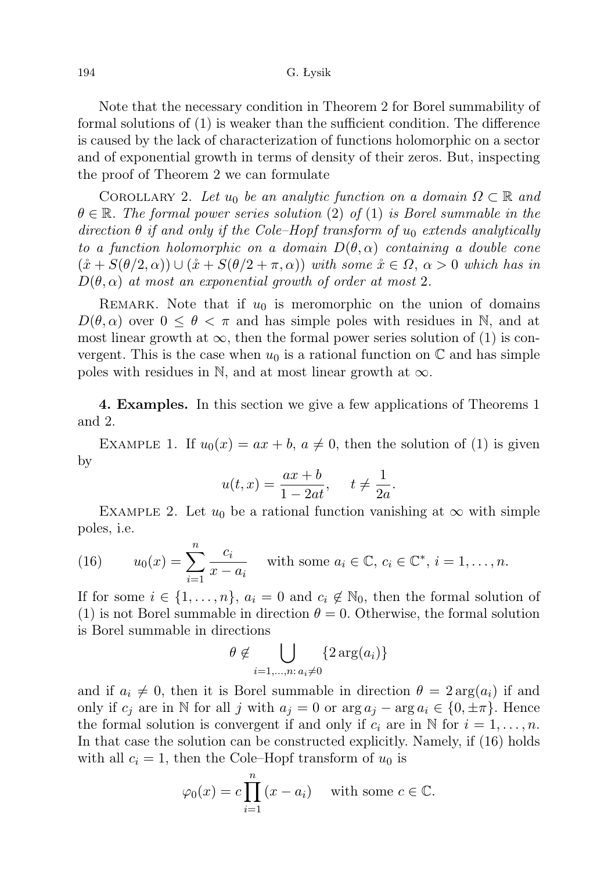Note that the necessary condition in Theorem 2 for Borel summability of formal solutions of (1) is weaker than the sufficient condition. The difference is caused by the lack of characterization of functions holomorphic on a sector and of exponential growth in terms of density of their zeros. But, inspecting the proof of Theorem 2 we can formulate

COROLLARY 2. Let u<sub>0</sub> be an analytic function on a domain  $\Omega \subset \mathbb{R}$  and  $\theta \in \mathbb{R}$ . The formal power series solution (2) of (1) is Borel summable in the direction  $\theta$  if and only if the Cole–Hopf transform of  $u_0$  extends analytically to a function holomorphic on a domain  $D(\theta,\alpha)$  containing a double cone  $(\mathring{x} + S(\theta/2, \alpha)) \cup (\mathring{x} + S(\theta/2 + \pi, \alpha))$  with some  $\mathring{x} \in \Omega$ ,  $\alpha > 0$  which has in  $D(\theta, \alpha)$  at most an exponential growth of order at most 2.

REMARK. Note that if  $u_0$  is meromorphic on the union of domains  $D(\theta, \alpha)$  over  $0 \leq \theta < \pi$  and has simple poles with residues in N, and at most linear growth at  $\infty$ , then the formal power series solution of (1) is convergent. This is the case when  $u_0$  is a rational function on  $\mathbb C$  and has simple poles with residues in N, and at most linear growth at  $\infty$ .

4. Examples. In this section we give a few applications of Theorems 1 and 2.

EXAMPLE 1. If  $u_0(x) = ax + b$ ,  $a \neq 0$ , then the solution of (1) is given by

$$
u(t,x) = \frac{ax+b}{1-2at}, \quad t \neq \frac{1}{2a}.
$$

EXAMPLE 2. Let  $u_0$  be a rational function vanishing at  $\infty$  with simple poles, i.e.

(16) 
$$
u_0(x) = \sum_{i=1}^n \frac{c_i}{x - a_i}
$$
 with some  $a_i \in \mathbb{C}, c_i \in \mathbb{C}^*, i = 1, ..., n$ .

If for some  $i \in \{1, \ldots, n\}$ ,  $a_i = 0$  and  $c_i \notin \mathbb{N}_0$ , then the formal solution of (1) is not Borel summable in direction  $\theta = 0$ . Otherwise, the formal solution is Borel summable in directions

$$
\theta \notin \bigcup_{i=1,\dots,n:\,a_i\neq 0} \{2\arg(a_i)\}\
$$

and if  $a_i \neq 0$ , then it is Borel summable in direction  $\theta = 2 \arg(a_i)$  if and only if  $c_i$  are in N for all j with  $a_i = 0$  or  $\arg a_i - \arg a_i \in \{0, \pm \pi\}$ . Hence the formal solution is convergent if and only if  $c_i$  are in N for  $i = 1, \ldots, n$ . In that case the solution can be constructed explicitly. Namely, if (16) holds with all  $c_i = 1$ , then the Cole–Hopf transform of  $u_0$  is

$$
\varphi_0(x) = c \prod_{i=1}^n (x - a_i)
$$
 with some  $c \in \mathbb{C}$ .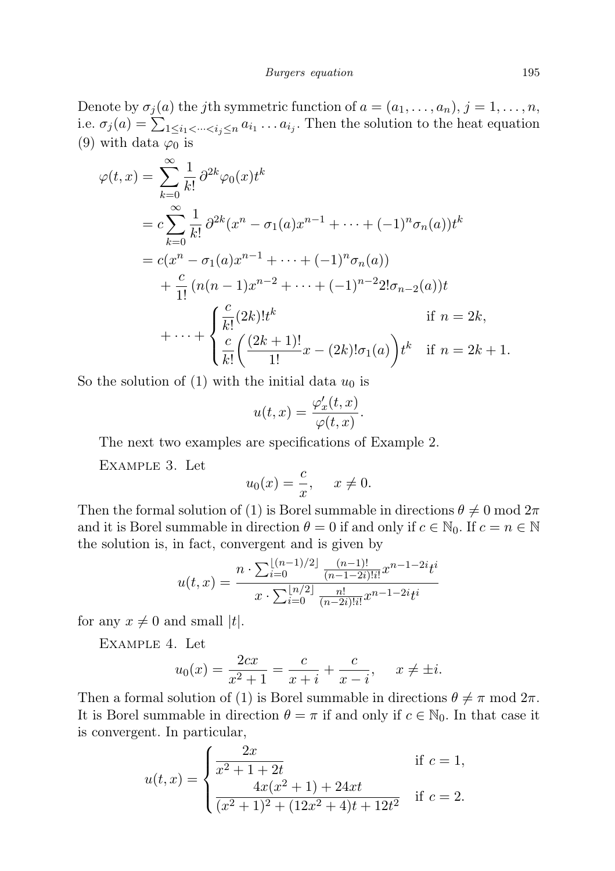Denote by  $\sigma_j(a)$  the *j*th symmetric function of  $a = (a_1, \ldots, a_n)$ ,  $j = 1, \ldots, n$ , i.e.  $\sigma_j(a) = \sum_{1 \leq i_1 < \dots < i_j \leq n} a_{i_1} \dots a_{i_j}$ . Then the solution to the heat equation (9) with data  $\varphi_0$  is

$$
\varphi(t,x) = \sum_{k=0}^{\infty} \frac{1}{k!} \partial^{2k} \varphi_0(x) t^k
$$
  
=  $c \sum_{k=0}^{\infty} \frac{1}{k!} \partial^{2k} (x^n - \sigma_1(a) x^{n-1} + \dots + (-1)^n \sigma_n(a)) t^k$   
=  $c(x^n - \sigma_1(a) x^{n-1} + \dots + (-1)^n \sigma_n(a))$   
+  $\frac{c}{1!} (n(n-1) x^{n-2} + \dots + (-1)^{n-2} 2! \sigma_{n-2}(a)) t$   
+  $\dots + \begin{cases} \frac{c}{k!} (2k)! t^k & \text{if } n = 2k, \\ \frac{c}{k!} \left( \frac{(2k+1)!}{1!} x - (2k)! \sigma_1(a) \right) t^k & \text{if } n = 2k+1. \end{cases}$ 

So the solution of  $(1)$  with the initial data  $u_0$  is

$$
u(t,x) = \frac{\varphi_x'(t,x)}{\varphi(t,x)}.
$$

The next two examples are specifications of Example 2.

Example 3. Let

$$
u_0(x) = \frac{c}{x}, \quad x \neq 0.
$$

Then the formal solution of (1) is Borel summable in directions  $\theta \neq 0$  mod  $2\pi$ and it is Borel summable in direction  $\theta = 0$  if and only if  $c \in \mathbb{N}_0$ . If  $c = n \in \mathbb{N}$ the solution is, in fact, convergent and is given by

$$
u(t,x) = \frac{n \cdot \sum_{i=0}^{\lfloor (n-1)/2 \rfloor} \frac{(n-1)!}{(n-1-2i)!i!} x^{n-1-2i} t^i}{x \cdot \sum_{i=0}^{\lfloor n/2 \rfloor} \frac{n!}{(n-2i)!i!} x^{n-1-2i} t^i}
$$

for any  $x \neq 0$  and small |t|.

Example 4. Let

$$
u_0(x) = \frac{2cx}{x^2 + 1} = \frac{c}{x + i} + \frac{c}{x - i}, \quad x \neq \pm i.
$$

Then a formal solution of (1) is Borel summable in directions  $\theta \neq \pi$  mod  $2\pi$ . It is Borel summable in direction  $\theta = \pi$  if and only if  $c \in \mathbb{N}_0$ . In that case it is convergent. In particular,

$$
u(t,x) = \begin{cases} \frac{2x}{x^2 + 1 + 2t} & \text{if } c = 1, \\ \frac{4x(x^2 + 1) + 24xt}{(x^2 + 1)^2 + (12x^2 + 4)t + 12t^2} & \text{if } c = 2. \end{cases}
$$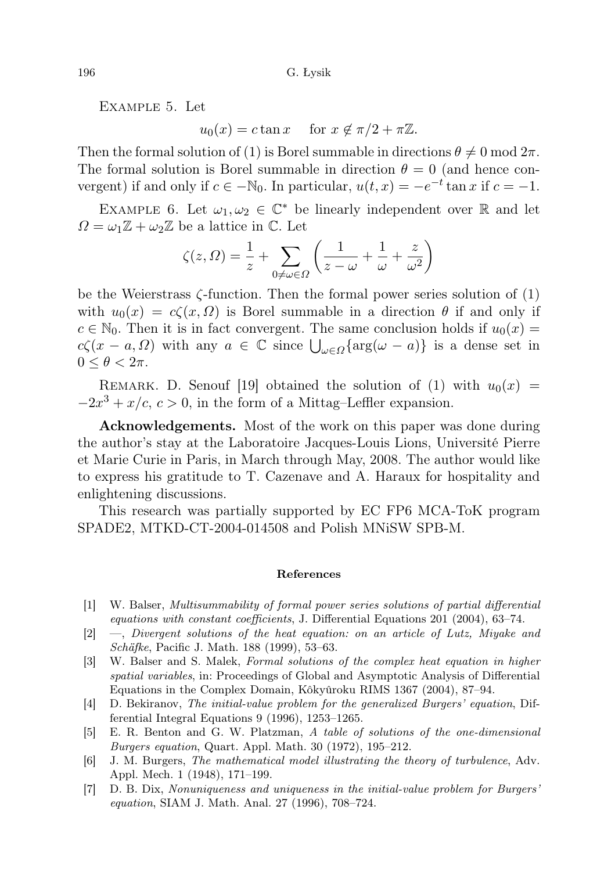Example 5. Let

 $u_0(x) = c \tan x$  for  $x \notin \pi/2 + \pi \mathbb{Z}$ .

Then the formal solution of (1) is Borel summable in directions  $\theta \neq 0 \text{ mod } 2\pi$ . The formal solution is Borel summable in direction  $\theta = 0$  (and hence convergent) if and only if  $c \in -\mathbb{N}_0$ . In particular,  $u(t, x) = -e^{-t} \tan x$  if  $c = -1$ .

EXAMPLE 6. Let  $\omega_1, \omega_2 \in \mathbb{C}^*$  be linearly independent over  $\mathbb R$  and let  $\Omega = \omega_1 \mathbb{Z} + \omega_2 \mathbb{Z}$  be a lattice in C. Let

$$
\zeta(z,\Omega) = \frac{1}{z} + \sum_{0 \neq \omega \in \Omega} \left( \frac{1}{z - \omega} + \frac{1}{\omega} + \frac{z}{\omega^2} \right)
$$

be the Weierstrass  $\zeta$ -function. Then the formal power series solution of  $(1)$ with  $u_0(x) = c\zeta(x, \Omega)$  is Borel summable in a direction  $\theta$  if and only if  $c \in \mathbb{N}_0$ . Then it is in fact convergent. The same conclusion holds if  $u_0(x) =$  $c\zeta(x-a,\Omega)$  with any  $a \in \mathbb{C}$  since  $\bigcup_{\omega \in \Omega} {\arg(\omega - a)}$  is a dense set in  $0 \leq \theta < 2\pi$ .

REMARK. D. Senouf [19] obtained the solution of (1) with  $u_0(x) =$  $-2x^3 + x/c$ ,  $c > 0$ , in the form of a Mittag–Leffler expansion.

Acknowledgements. Most of the work on this paper was done during the author's stay at the Laboratoire Jacques-Louis Lions, Université Pierre et Marie Curie in Paris, in March through May, 2008. The author would like to express his gratitude to T. Cazenave and A. Haraux for hospitality and enlightening discussions.

This research was partially supported by EC FP6 MCA-ToK program SPADE2, MTKD-CT-2004-014508 and Polish MNiSW SPB-M.

## References

- [1] W. Balser, Multisummability of formal power series solutions of partial differential equations with constant coefficients, J. Differential Equations 201 (2004), 63–74.
- [2] —, Divergent solutions of the heat equation: on an article of Lutz, Miyake and Schäfke, Pacific J. Math. 188 (1999), 53–63.
- [3] W. Balser and S. Malek, Formal solutions of the complex heat equation in higher spatial variables, in: Proceedings of Global and Asymptotic Analysis of Differential Equations in the Complex Domain, Kôkyûroku RIMS 1367 (2004), 87–94.
- [4] D. Bekiranov, The initial-value problem for the generalized Burgers' equation, Differential Integral Equations 9 (1996), 1253–1265.
- [5] E. R. Benton and G. W. Platzman, A table of solutions of the one-dimensional Burgers equation, Quart. Appl. Math. 30 (1972), 195–212.
- [6] J. M. Burgers, The mathematical model illustrating the theory of turbulence, Adv. Appl. Mech. 1 (1948), 171–199.
- [7] D. B. Dix, Nonuniqueness and uniqueness in the initial-value problem for Burgers' equation, SIAM J. Math. Anal. 27 (1996), 708–724.